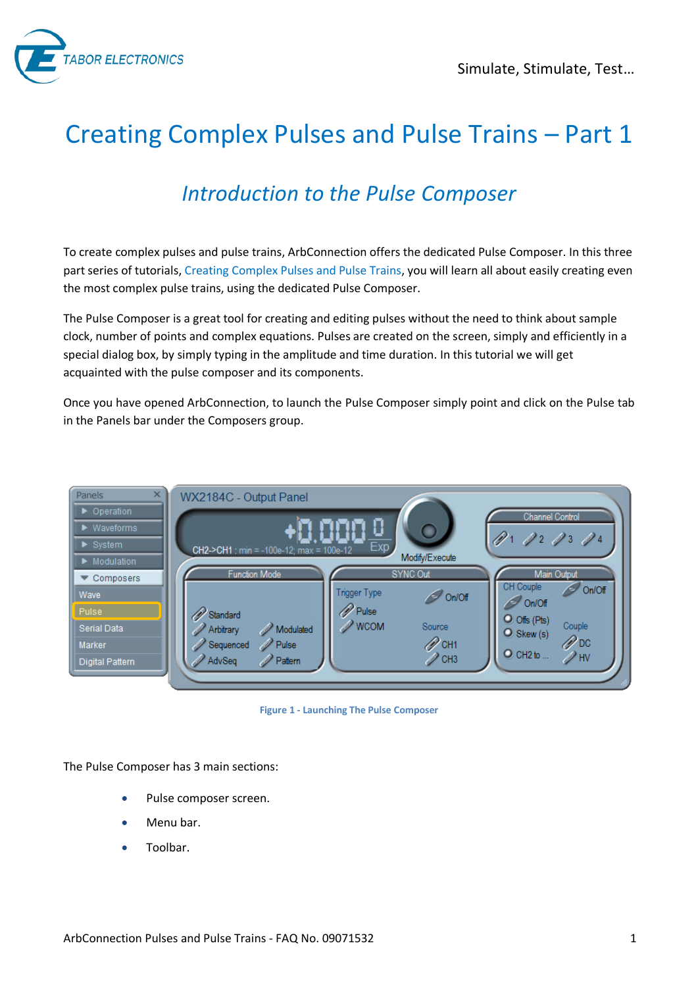

# Creating Complex Pulses and Pulse Trains – Part 1

# *Introduction to the Pulse Composer*

To create complex pulses and pulse trains, ArbConnection offers the dedicated Pulse Composer. In this three part series of tutorials, Creating Complex Pulses and Pulse Trains, you will learn all about easily creating even the most complex pulse trains, using the dedicated Pulse Composer.

The Pulse Composer is a great tool for creating and editing pulses without the need to think about sample clock, number of points and complex equations. Pulses are created on the screen, simply and efficiently in a special dialog box, by simply typing in the amplitude and time duration. In this tutorial we will get acquainted with the pulse composer and its components.

Once you have opened ArbConnection, to launch the Pulse Composer simply point and click on the Pulse tab in the Panels bar under the Composers group.



**Figure 1 - Launching The Pulse Composer** 

The Pulse Composer has 3 main sections:

- Pulse composer screen.
- Menu bar.
- Toolbar.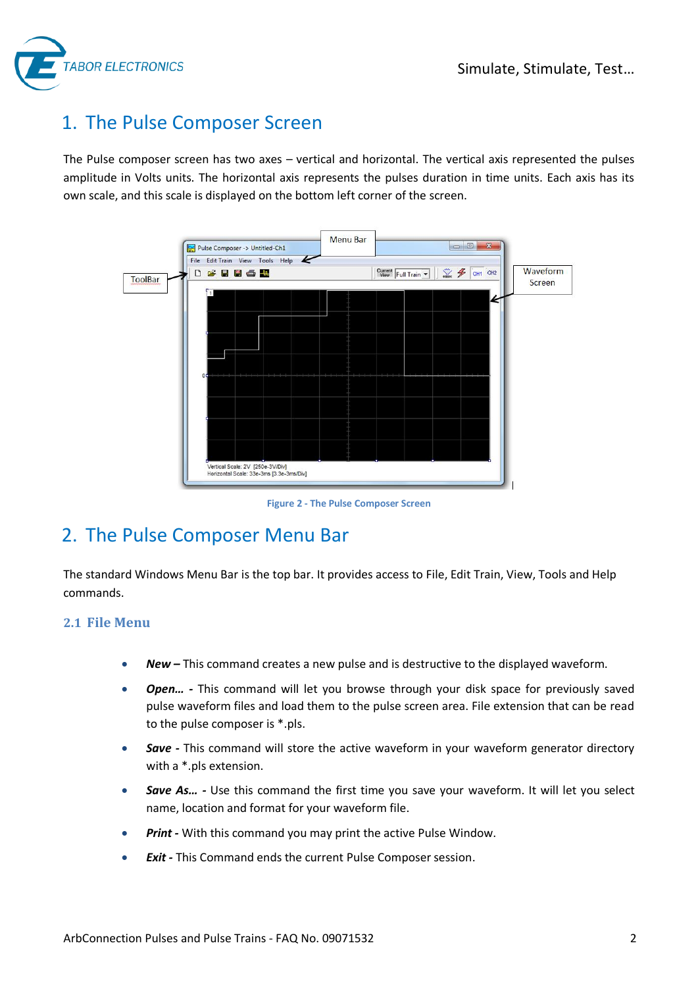

# 1. The Pulse Composer Screen

The Pulse composer screen has two axes – vertical and horizontal. The vertical axis represented the pulses amplitude in Volts units. The horizontal axis represents the pulses duration in time units. Each axis has its own scale, and this scale is displayed on the bottom left corner of the screen.



**Figure 2 - The Pulse Composer Screen** 

## 2. The Pulse Composer Menu Bar

The standard Windows Menu Bar is the top bar. It provides access to File, Edit Train, View, Tools and Help commands.

#### **2.1 File Menu**

- *New –* This command creates a new pulse and is destructive to the displayed waveform.
- *Open...* This command will let you browse through your disk space for previously saved pulse waveform files and load them to the pulse screen area. File extension that can be read to the pulse composer is \*.pls.
- **Save** This command will store the active waveform in your waveform generator directory with a \*.pls extension.
- **Save As...** Use this command the first time you save your waveform. It will let you select name, location and format for your waveform file.
- *Print With this command you may print the active Pulse Window.*
- *Exit* This Command ends the current Pulse Composer session.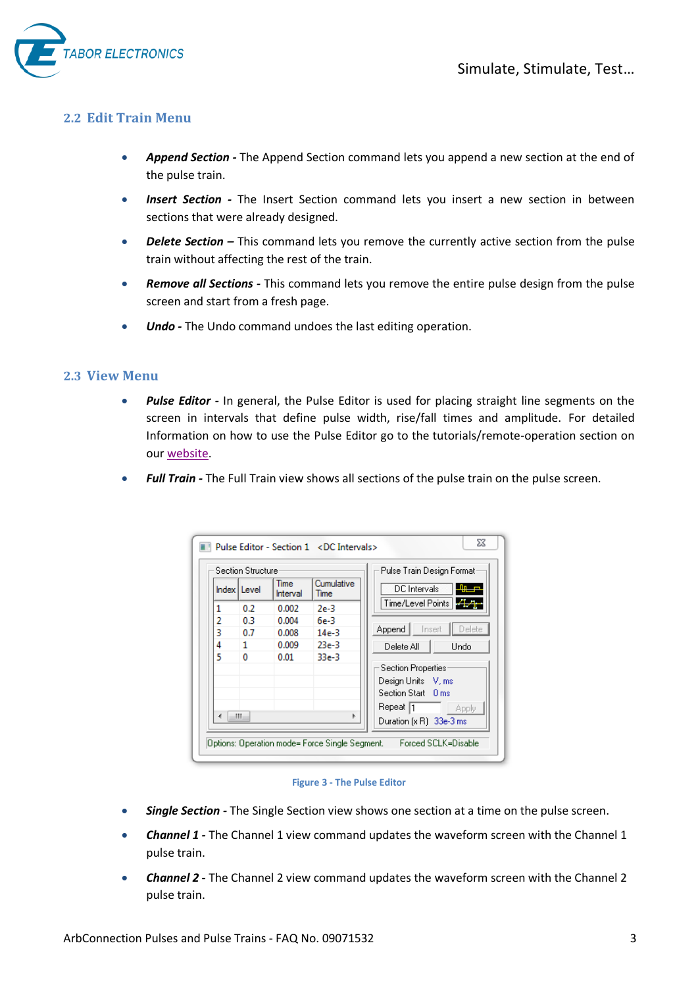

#### **2.2 Edit Train Menu**

- *Append Section* The Append Section command lets you append a new section at the end of the pulse train.
- *Insert Section* The Insert Section command lets you insert a new section in between sections that were already designed.
- **•** Delete Section This command lets you remove the currently active section from the pulse train without affecting the rest of the train.
- *Remove all Sections* This command lets you remove the entire pulse design from the pulse screen and start from a fresh page.
- *Undo* The Undo command undoes the last editing operation.

#### **2.3 View Menu**

- *Pulse Editor* In general, the Pulse Editor is used for placing straight line segments on the screen in intervals that define pulse width, rise/fall times and amplitude. For detailed Information on how to use the Pulse Editor go to the tutorials/remote-operation section on our [website.](http://www.taborelec.com/Tabor/Templates/showpage.asp?DBID=1&LNGID=1&TMID=111&FID=1600)
- *Full Train The Full Train view shows all sections of the pulse train on the pulse screen.*

|   | Section Structure |                         | Pulse Train Design Format: |                            |
|---|-------------------|-------------------------|----------------------------|----------------------------|
|   | Index   Level     | <b>Time</b><br>Interval | Cumulative<br><b>Time</b>  | DC Intervals               |
| 1 | 0.2               | 0.002                   | $2e-3$                     | Time/Level Points          |
| 2 | 0.3               | 0.004                   | $6e-3$                     |                            |
| 3 | 0.7               | 0.008                   | $14e-3$                    | Append<br>Delete<br>Insert |
| 4 | 1                 | 0.009                   | $23e-3$                    | Delete All<br><b>Undo</b>  |
| 5 | 0                 | 0.01                    | $33e-3$                    |                            |
|   |                   |                         |                            | Section Properties         |
|   |                   |                         |                            | Design Units V, ms         |
|   |                   |                         |                            | Section Start 0 ms         |
|   |                   |                         |                            | Repeat  1<br><b>Apply</b>  |
|   | Ш                 |                         | Þ                          | Duration [x R] 33e-3 ms    |

**Figure 3 - The Pulse Editor** 

- *Single Section* The Single Section view shows one section at a time on the pulse screen.
- *Channel 1* The Channel 1 view command updates the waveform screen with the Channel 1 pulse train.
- *Channel 2* The Channel 2 view command updates the waveform screen with the Channel 2 pulse train.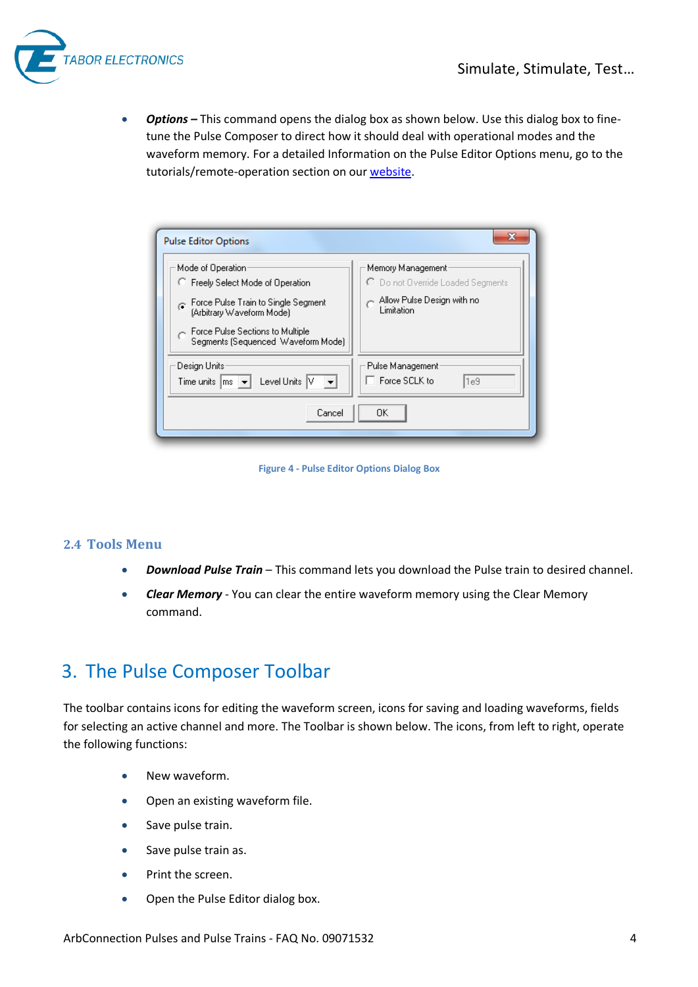

**•** Options - This command opens the dialog box as shown below. Use this dialog box to finetune the Pulse Composer to direct how it should deal with operational modes and the waveform memory. For a detailed Information on the Pulse Editor Options menu, go to the tutorials/remote-operation section on our [website.](http://www.taborelec.com/Tabor/Templates/showpage.asp?DBID=1&LNGID=1&TMID=111&FID=1600)

| <b>Pulse Editor Options</b>                                                                                                                                                                          |                                                                                                    |  |  |  |  |  |  |
|------------------------------------------------------------------------------------------------------------------------------------------------------------------------------------------------------|----------------------------------------------------------------------------------------------------|--|--|--|--|--|--|
| Mode of Operation<br>C Freely Select Mode of Operation<br>Force Pulse Train to Single Segment<br>(Arbitrary Waveform Mode)<br>Force Pulse Sections to Multiple<br>Segments (Seguenced Waveform Mode) | Memory Management<br>C Do not Override Loaded Segments<br>Allow Pulse Design with no<br>Limitation |  |  |  |  |  |  |
| Design Units<br>Level Units V<br>Time units $ m_s $<br>Cancel                                                                                                                                        | Pulse Management<br>□ Force SCLK to<br>l1e9<br>OΚ                                                  |  |  |  |  |  |  |
|                                                                                                                                                                                                      |                                                                                                    |  |  |  |  |  |  |

**Figure 4 - Pulse Editor Options Dialog Box** 

#### **2.4 Tools Menu**

- *Download Pulse Train* This command lets you download the Pulse train to desired channel.
- *Clear Memory* You can clear the entire waveform memory using the Clear Memory command.

### 3. The Pulse Composer Toolbar

The toolbar contains icons for editing the waveform screen, icons for saving and loading waveforms, fields for selecting an active channel and more. The Toolbar is shown below. The icons, from left to right, operate the following functions:

- New waveform.
- Open an existing waveform file.
- Save pulse train.
- Save pulse train as.
- Print the screen.
- Open the Pulse Editor dialog box.